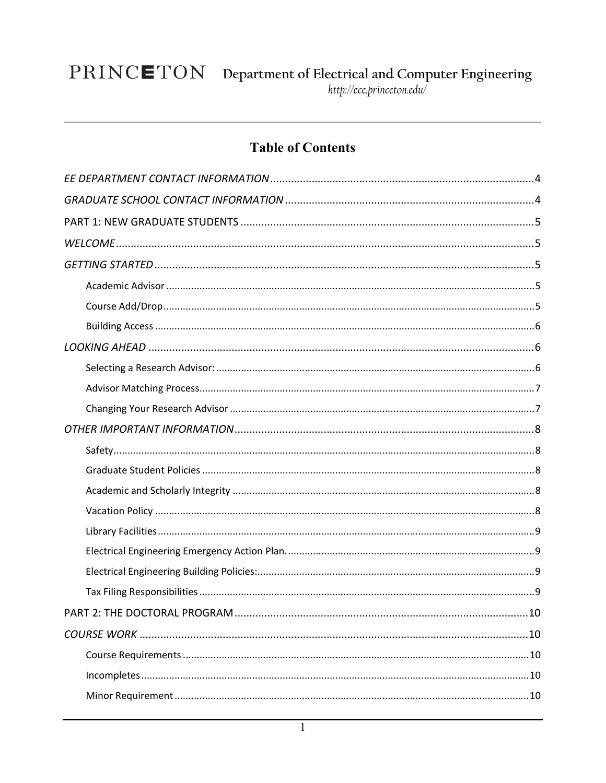### **Table of Contents**

| .10 |
|-----|
|     |
|     |
|     |
|     |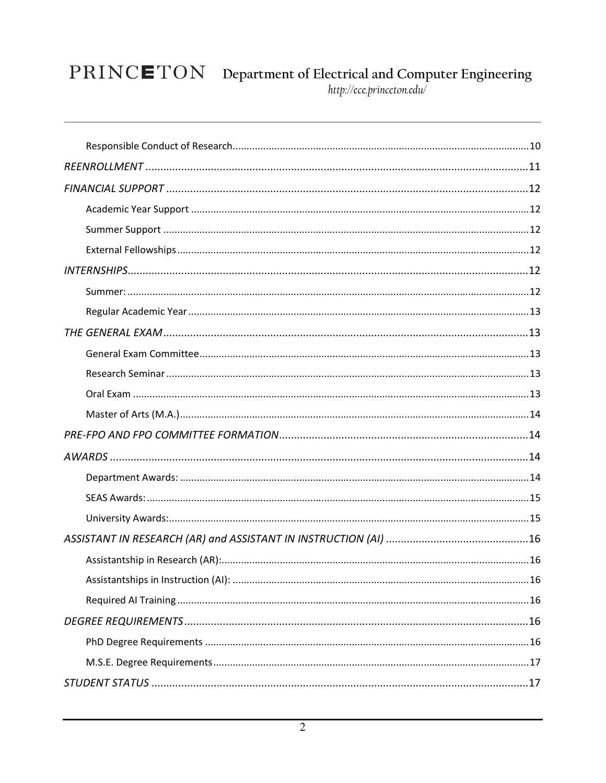# $\textbf{PRINC}\textbf{ETON}\quad\text{Department of Electrical and Computer Engineering}\label{thm:http://ecc-princeton.edu/} \textit{http://ecc-princeton.edu/}$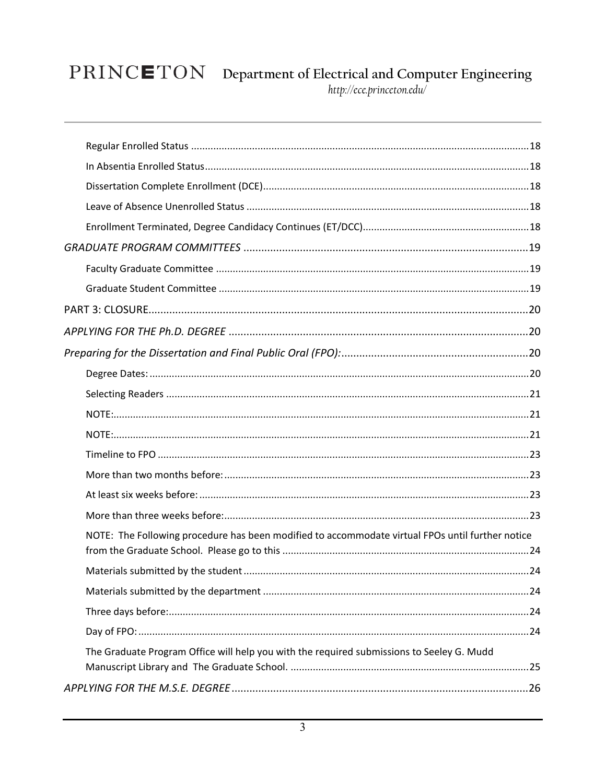# $\textbf{PRINC}\textbf{ETON}\quad\text{Department of Electrical and Computer Engineering}\label{thm:http://ecc-princeton.edu/} \textit{http://ecc-princeton.edu/}$

| NOTE: The Following procedure has been modified to accommodate virtual FPOs until further notice |  |
|--------------------------------------------------------------------------------------------------|--|
|                                                                                                  |  |
|                                                                                                  |  |
|                                                                                                  |  |
|                                                                                                  |  |
| The Graduate Program Office will help you with the required submissions to Seeley G. Mudd        |  |
|                                                                                                  |  |
|                                                                                                  |  |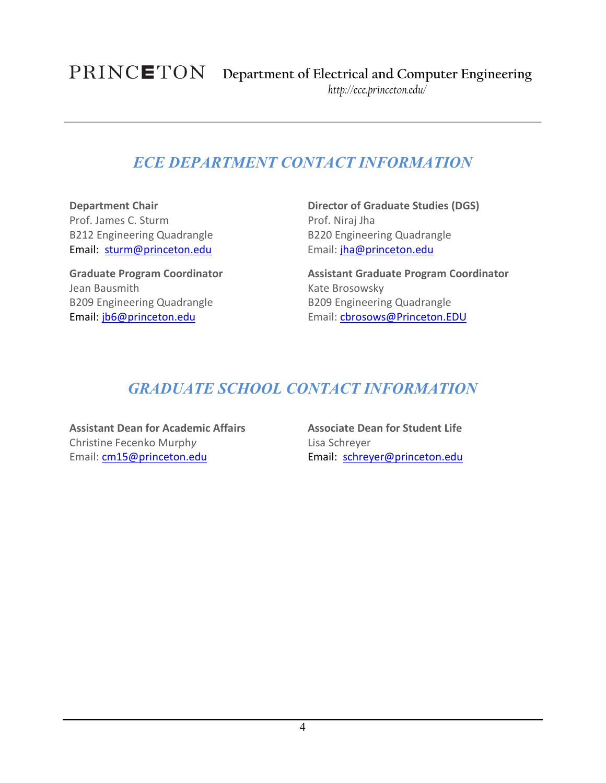### *ECE DEPARTMENT CONTACT INFORMATION*

<span id="page-3-0"></span>**Department Chair** Prof. James C. Sturm B212 Engineering Quadrangle Email: [sturm@princeton.edu](mailto:sturm@princeton.edu)

**Graduate Program Coordinator** Jean Bausmith B209 Engineering Quadrangle Email: [jb6@princeton.edu](mailto:jb6@princeton.edu)

**Director of Graduate Studies (DGS)** Prof. Niraj Jha B220 Engineering Quadrangle Email: [jha@princeton.edu](mailto:jha@princeton.edu)

**Assistant Graduate Program Coordinator** Kate Brosowsky B209 Engineering Quadrangle Email[: cbrosows@Princeton.EDU](mailto:cbrosows@Princeton.EDU)

### *GRADUATE SCHOOL CONTACT INFORMATION*

<span id="page-3-1"></span>**Assistant Dean for Academic Affairs** [Christine Fecenko](http://gradschool.princeton.edu/staff/christine-fecenko-murphy) Murph*y* Email: [cm15@princeton.edu](mailto:%20cm15@princeton.edu)

**Associate Dean for Student Life** Lisa Schreyer Email: [schreyer@princeton.edu](mailto:schreyer@princeton.edu)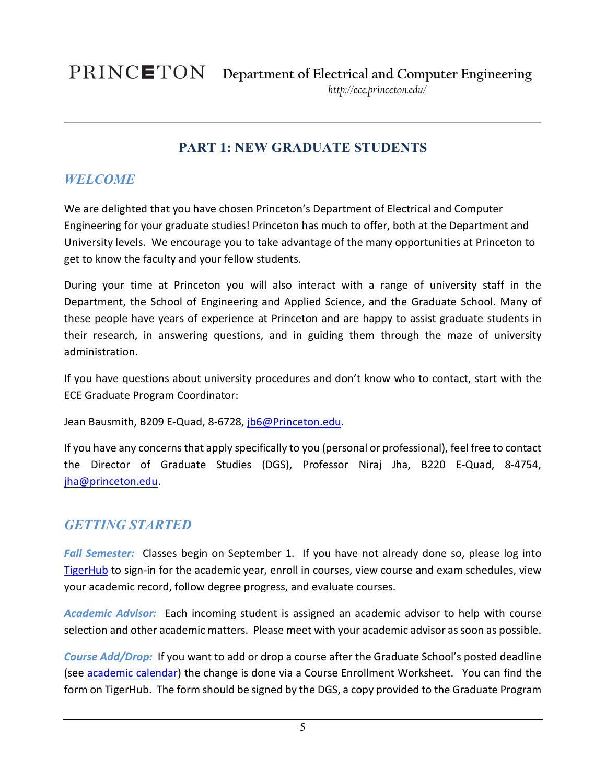### **PART 1: NEW GRADUATE STUDENTS**

### <span id="page-4-1"></span><span id="page-4-0"></span>*WELCOME*

We are delighted that you have chosen Princeton's Department of Electrical and Computer Engineering for your graduate studies! Princeton has much to offer, both at the Department and University levels. We encourage you to take advantage of the many opportunities at Princeton to get to know the faculty and your fellow students.

During your time at Princeton you will also interact with a range of university staff in the Department, the School of Engineering and Applied Science, and the Graduate School. Many of these people have years of experience at Princeton and are happy to assist graduate students in their research, in answering questions, and in guiding them through the maze of university administration.

If you have questions about university procedures and don't know who to contact, start with the ECE Graduate Program Coordinator:

Jean Bausmith, B209 E-Quad, 8-6728, [jb6@Princeton.edu.](file://files.princeton.edu/eeresource/Grads/Coordinator/Tamara)

If you have any concerns that apply specifically to you (personal or professional), feel free to contact the Director of Graduate Studies (DGS), Professor Niraj Jha, B220 E-Quad, 8-4754, [jha@princeton.edu.](mailto:jha@princeton.edu)

### <span id="page-4-2"></span>*GETTING STARTED*

Fall Semester: Classes begin on September 1. If you have not already done so, please log into [TigerHub](https://registrar.princeton.edu/tigerhub/) to sign-in for the academic year, enroll in courses, view course and exam schedules, view your academic record, follow degree progress, and evaluate courses.

<span id="page-4-3"></span>*Academic Advisor:* Each incoming student is assigned an academic advisor to help with course selection and other academic matters. Please meet with your academic advisor as soon as possible.

<span id="page-4-4"></span>*Course Add/Drop:* If you want to add or drop a course after the Graduate School's posted deadline (see [academic calendar\)](https://registrar.princeton.edu/academic-calendar-and-deadlines) the change is done via a Course Enrollment Worksheet. You can find the form on TigerHub. The form should be signed by the DGS, a copy provided to the Graduate Program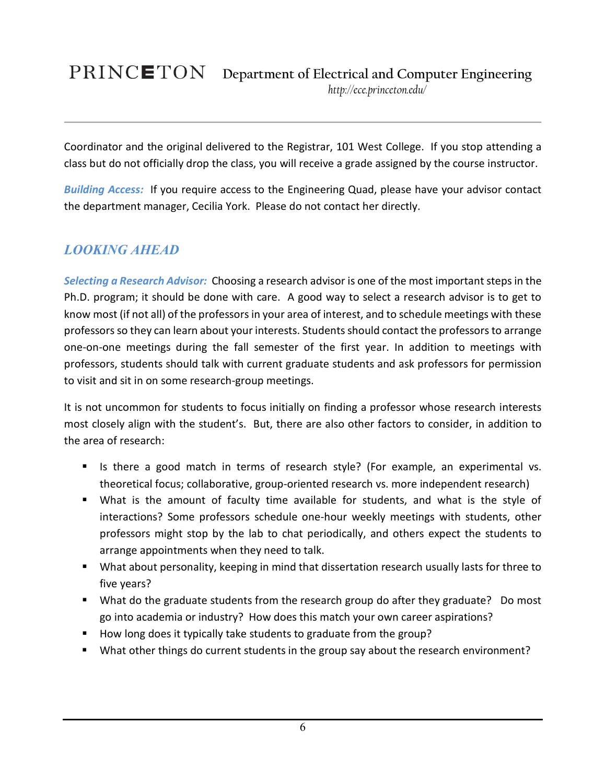### **Department of Electrical and Computer Engineering** *http://ece.princeton.edu/*

Coordinator and the original delivered to the Registrar, 101 West College. If you stop attending a class but do not officially drop the class, you will receive a grade assigned by the course instructor.

<span id="page-5-0"></span>*Building Access:* If you require access to the Engineering Quad, please have your advisor contact the department manager, Cecilia York. Please do not contact her directly.

### <span id="page-5-1"></span>*LOOKING AHEAD*

<span id="page-5-2"></span>*Selecting a Research Advisor:* Choosing a research advisor is one of the most important steps in the Ph.D. program; it should be done with care. A good way to select a research advisor is to get to know most (if not all) of the professors in your area of interest, and to schedule meetings with these professors so they can learn about your interests. Students should contact the professors to arrange one-on-one meetings during the fall semester of the first year. In addition to meetings with professors, students should talk with current graduate students and ask professors for permission to visit and sit in on some research-group meetings.

It is not uncommon for students to focus initially on finding a professor whose research interests most closely align with the student's. But, there are also other factors to consider, in addition to the area of research:

- If Is there a good match in terms of research style? (For example, an experimental vs. theoretical focus; collaborative, group-oriented research vs. more independent research)
- What is the amount of faculty time available for students, and what is the style of interactions? Some professors schedule one-hour weekly meetings with students, other professors might stop by the lab to chat periodically, and others expect the students to arrange appointments when they need to talk.
- **What about personality, keeping in mind that dissertation research usually lasts for three to** five years?
- What do the graduate students from the research group do after they graduate? Do most go into academia or industry? How does this match your own career aspirations?
- How long does it typically take students to graduate from the group?
- What other things do current students in the group say about the research environment?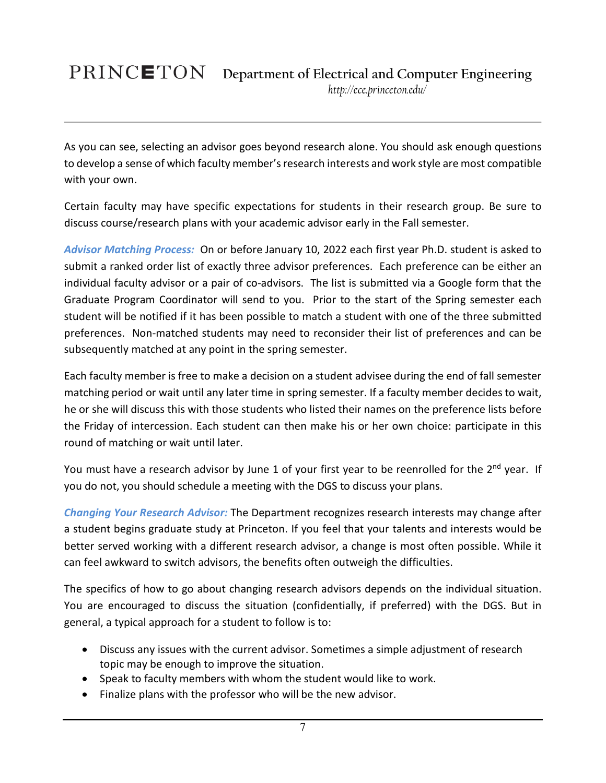As you can see, selecting an advisor goes beyond research alone. You should ask enough questions to develop a sense of which faculty member's research interests and work style are most compatible with your own.

Certain faculty may have specific expectations for students in their research group. Be sure to discuss course/research plans with your academic advisor early in the Fall semester.

<span id="page-6-0"></span>*Advisor Matching Process:* On or before January 10, 2022 each first year Ph.D. student is asked to submit a ranked order list of exactly three advisor preferences. Each preference can be either an individual faculty advisor or a pair of co-advisors. The list is submitted via a Google form that the Graduate Program Coordinator will send to you. Prior to the start of the Spring semester each student will be notified if it has been possible to match a student with one of the three submitted preferences. Non-matched students may need to reconsider their list of preferences and can be subsequently matched at any point in the spring semester.

Each faculty member is free to make a decision on a student advisee during the end of fall semester matching period or wait until any later time in spring semester. If a faculty member decides to wait, he or she will discuss this with those students who listed their names on the preference lists before the Friday of intercession. Each student can then make his or her own choice: participate in this round of matching or wait until later.

You must have a research advisor by June 1 of your first year to be reenrolled for the 2<sup>nd</sup> year. If you do not, you should schedule a meeting with the DGS to discuss your plans.

<span id="page-6-1"></span>*Changing Your Research Advisor:* The Department recognizes research interests may change after a student begins graduate study at Princeton. If you feel that your talents and interests would be better served working with a different research advisor, a change is most often possible. While it can feel awkward to switch advisors, the benefits often outweigh the difficulties.

The specifics of how to go about changing research advisors depends on the individual situation. You are encouraged to discuss the situation (confidentially, if preferred) with the DGS. But in general, a typical approach for a student to follow is to:

- Discuss any issues with the current advisor. Sometimes a simple adjustment of research topic may be enough to improve the situation.
- Speak to faculty members with whom the student would like to work.
- Finalize plans with the professor who will be the new advisor.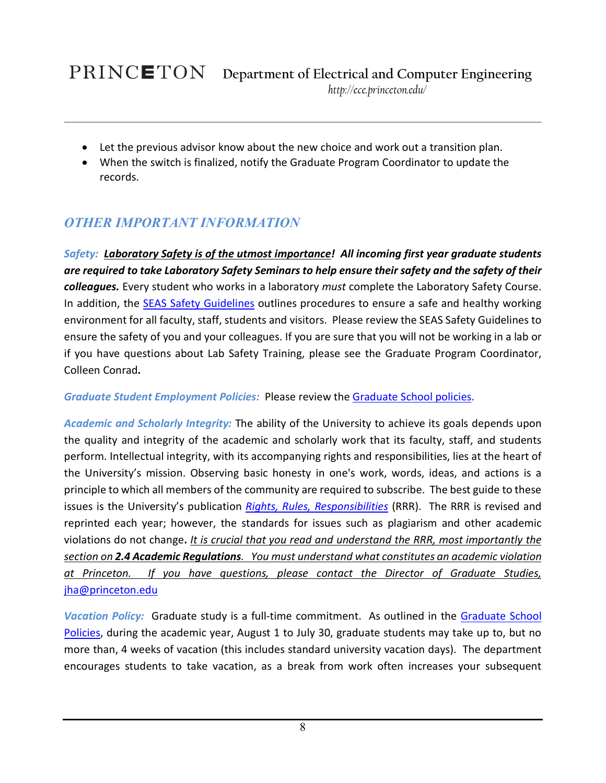### PRINCETON

- Let the previous advisor know about the new choice and work out a transition plan.
- When the switch is finalized, notify the Graduate Program Coordinator to update the records.

### <span id="page-7-0"></span>*OTHER IMPORTANT INFORMATION*

<span id="page-7-1"></span>*Safety: Laboratory Safety is of the utmost importance! All incoming first year graduate students are required to take Laboratory Safety Seminars to help ensure their safety and the safety of their colleagues.* Every student who works in a laboratory *must* complete the Laboratory Safety Course. In addition, the [SEAS Safety Guidelines](https://engineering-resources.princeton.edu/safety/) outlines procedures to ensure a safe and healthy working environment for all faculty, staff, students and visitors. Please review the SEAS Safety Guidelines to ensure the safety of you and your colleagues. If you are sure that you will not be working in a lab or if you have questions about Lab Safety Training, please see the Graduate Program Coordinator, Colleen Conrad*.* 

<span id="page-7-2"></span>*Graduate Student Employment Policies:* Please review the [Graduate School policies.](https://gradschool.princeton.edu/policies/employment)

<span id="page-7-3"></span>*Academic and Scholarly Integrity:* The ability of the University to achieve its goals depends upon the quality and integrity of the academic and scholarly work that its faculty, staff, and students perform. Intellectual integrity, with its accompanying rights and responsibilities, lies at the heart of the University's mission. Observing basic honesty in one's work, words, ideas, and actions is a principle to which all members of the community are required to subscribe. The best guide to these issues is the University's publication *[Rights, Rules, Responsibilities](http://www.princeton.edu/pub/rrr/part1/)* (RRR). The RRR is revised and reprinted each year; however, the standards for issues such as plagiarism and other academic violations do not change**.** *It is crucial that you read and understand the RRR, most importantly the section on 2.4 Academic Regulations. You must understand what constitutes an academic violation at Princeton. If you have questions, please contact the Director of Graduate Studies,*  [jha@princeton.edu](mailto:jha@princeton.edu)

<span id="page-7-4"></span>*Vacation Policy:* Graduate study is a full-time commitment. As outlined in the [Graduate School](https://gradschool.princeton.edu/policies/student-vacation-time)  [Policies,](https://gradschool.princeton.edu/policies/student-vacation-time) during the academic year, August 1 to July 30, graduate students may take up to, but no more than, 4 weeks of vacation (this includes standard university vacation days). The department encourages students to take vacation, as a break from work often increases your subsequent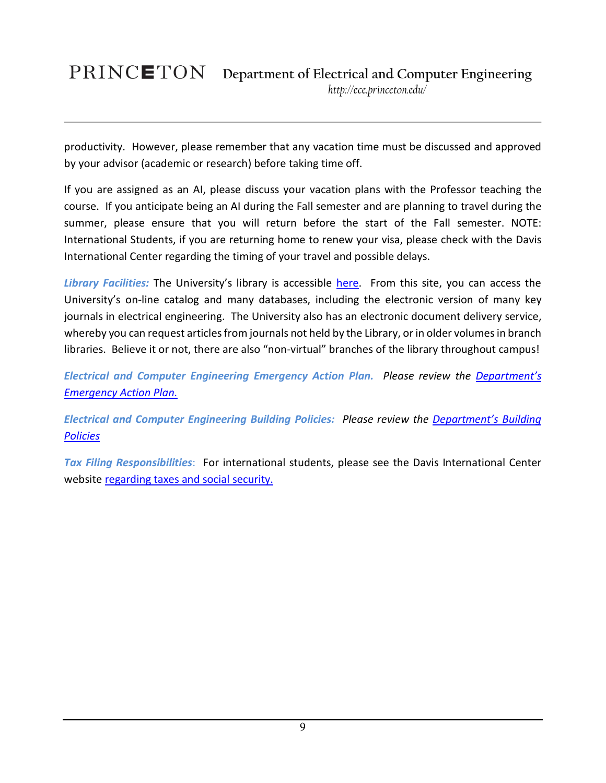# **Department of Electrical and Computer Engineering**

*http://ece.princeton.edu/*

productivity. However, please remember that any vacation time must be discussed and approved by your advisor (academic or research) before taking time off.

If you are assigned as an AI, please discuss your vacation plans with the Professor teaching the course. If you anticipate being an AI during the Fall semester and are planning to travel during the summer, please ensure that you will return before the start of the Fall semester. NOTE: International Students, if you are returning home to renew your visa, please check with the Davis International Center regarding the timing of your travel and possible delays.

<span id="page-8-0"></span>*Library Facilities:* The University's library is accessible [here.](https://library.princeton.edu/special-collections/policies/masters-theses-and-phd-dissertations-submission-guidelines) From this site, you can access the University's on-line catalog and many databases, including the electronic version of many key journals in electrical engineering. The University also has an electronic document delivery service, whereby you can request articles from journals not held by the Library, or in older volumes in branch libraries. Believe it or not, there are also "non-virtual" branches of the library throughout campus!

<span id="page-8-1"></span>*Electrical and Computer Engineering Emergency Action Plan. Please review the [Department's](https://ee.princeton.edu/node/3806)  [Emergency Action Plan.](https://ee.princeton.edu/node/3806)* 

<span id="page-8-2"></span>*Electrical and Computer Engineering Building Policies: Please review the [Department's Building](https://ee.princeton.edu/node/4056)  [Policies](https://ee.princeton.edu/node/4056)* 

<span id="page-8-3"></span>*Tax Filing Responsibilities*: For international students, please see the Davis International Center website [regarding](http://www.princeton.edu/intlctr/davis-ic-home/taxes-social-security/) [taxes and social security.](https://davisic.princeton.edu/node/1005)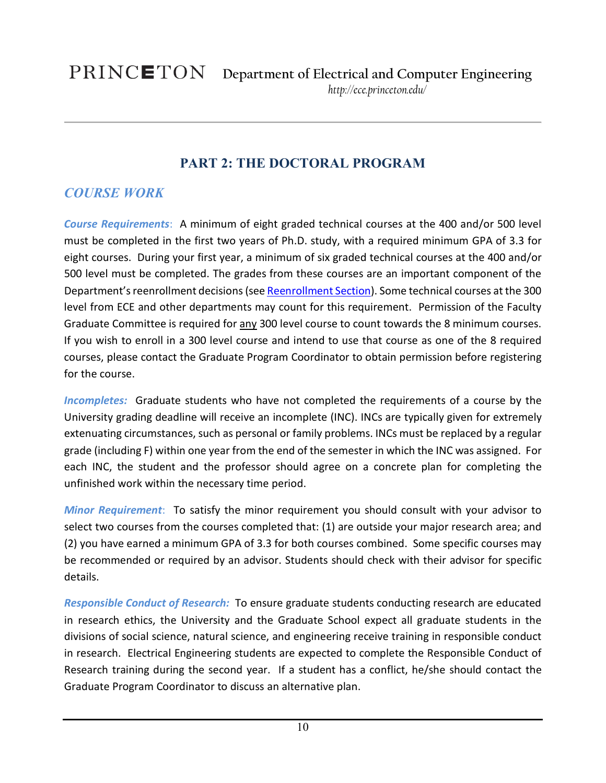### **PART 2: THE DOCTORAL PROGRAM**

### <span id="page-9-1"></span><span id="page-9-0"></span>*COURSE WORK*

<span id="page-9-2"></span>*Course Requirements*: A minimum of eight graded technical courses at the 400 and/or 500 level must be completed in the first two years of Ph.D. study, with a required minimum GPA of 3.3 for eight courses. During your first year, a minimum of six graded technical courses at the 400 and/or 500 level must be completed. The grades from these courses are an important component of the Department's reenrollment decisions(see [Reenrollment Section\)](#page-10-0). Some technical courses at the 300 level from ECE and other departments may count for this requirement. Permission of the Faculty Graduate Committee is required for any 300 level course to count towards the 8 minimum courses. If you wish to enroll in a 300 level course and intend to use that course as one of the 8 required courses, please contact the Graduate Program Coordinator to obtain permission before registering for the course.

<span id="page-9-3"></span>*Incompletes:* Graduate students who have not completed the requirements of a course by the University grading deadline will receive an incomplete (INC). INCs are typically given for extremely extenuating circumstances, such as personal or family problems. INCs must be replaced by a regular grade (including F) within one year from the end of the semester in which the INC was assigned. For each INC, the student and the professor should agree on a concrete plan for completing the unfinished work within the necessary time period.

<span id="page-9-4"></span>*Minor Requirement*: To satisfy the minor requirement you should consult with your advisor to select two courses from the courses completed that: (1) are outside your major research area; and (2) you have earned a minimum GPA of 3.3 for both courses combined. Some specific courses may be recommended or required by an advisor. Students should check with their advisor for specific details.

<span id="page-9-5"></span>*Responsible Conduct of Research:* To ensure graduate students conducting research are educated in research ethics, the University and the Graduate School expect all graduate students in the divisions of social science, natural science, and engineering receive training in responsible conduct in research. Electrical Engineering students are expected to complete the Responsible Conduct of Research training during the second year. If a student has a conflict, he/she should contact the Graduate Program Coordinator to discuss an alternative plan.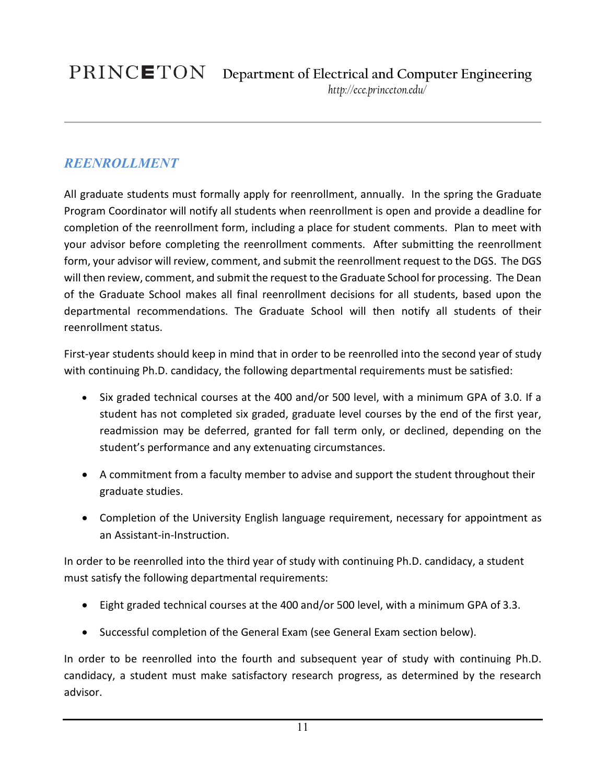### <span id="page-10-0"></span>*REENROLLMENT*

All graduate students must formally apply for reenrollment, annually. In the spring the Graduate Program Coordinator will notify all students when reenrollment is open and provide a deadline for completion of the reenrollment form, including a place for student comments. Plan to meet with your advisor before completing the reenrollment comments. After submitting the reenrollment form, your advisor will review, comment, and submit the reenrollment request to the DGS. The DGS will then review, comment, and submit the request to the Graduate School for processing. The Dean of the Graduate School makes all final reenrollment decisions for all students, based upon the departmental recommendations. The Graduate School will then notify all students of their reenrollment status.

First-year students should keep in mind that in order to be reenrolled into the second year of study with continuing Ph.D. candidacy, the following departmental requirements must be satisfied:

- Six graded technical courses at the 400 and/or 500 level, with a minimum GPA of 3.0. If a student has not completed six graded, graduate level courses by the end of the first year, readmission may be deferred, granted for fall term only, or declined, depending on the student's performance and any extenuating circumstances.
- A commitment from a faculty member to advise and support the student throughout their graduate studies.
- Completion of the University English language requirement, necessary for appointment as an Assistant-in-Instruction.

In order to be reenrolled into the third year of study with continuing Ph.D. candidacy, a student must satisfy the following departmental requirements:

- Eight graded technical courses at the 400 and/or 500 level, with a minimum GPA of 3.3.
- Successful completion of the General Exam (see General Exam section below).

In order to be reenrolled into the fourth and subsequent year of study with continuing Ph.D. candidacy, a student must make satisfactory research progress, as determined by the research advisor.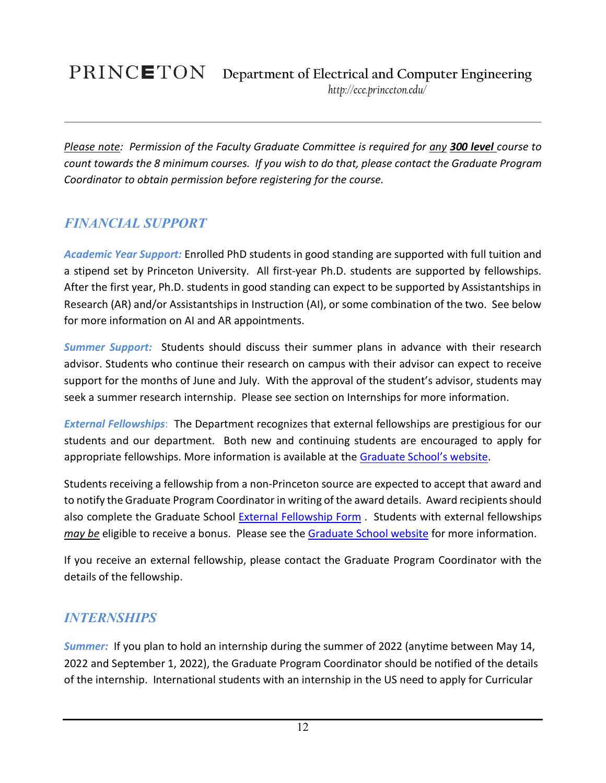### PRINCETON **Department of Electrical and Computer Engineering** *http://ece.princeton.edu/*

*Please note: Permission of the Faculty Graduate Committee is required for any 300 level course to count towards the 8 minimum courses. If you wish to do that, please contact the Graduate Program Coordinator to obtain permission before registering for the course.*

### <span id="page-11-0"></span>*FINANCIAL SUPPORT*

<span id="page-11-1"></span>*Academic Year Support:* Enrolled PhD students in good standing are supported with full tuition and a stipend set by Princeton University. All first-year Ph.D. students are supported by fellowships. After the first year, Ph.D. students in good standing can expect to be supported by Assistantships in Research (AR) and/or Assistantships in Instruction (AI), or some combination of the two. See below for more information on AI and AR appointments.

<span id="page-11-2"></span>*Summer Support:* Students should discuss their summer plans in advance with their research advisor. Students who continue their research on campus with their advisor can expect to receive support for the months of June and July. With the approval of the student's advisor, students may seek a summer research internship. Please see section on Internships for more information.

<span id="page-11-3"></span>*External Fellowships*: The Department recognizes that external fellowships are prestigious for our students and our department. Both new and continuing students are encouraged to apply for appropriate fellowships. More information is available at the [Graduate School's website.](http://gradschool.princeton.edu/costs-funding/sources-funding/external-funding)

Students receiving a fellowship from a non-Princeton source are expected to accept that award and to notify the Graduate Program Coordinator in writing of the award details. Award recipients should also complete the Graduate School [External Fellowship Form](https://gsapps.princeton.edu/externalfellowship/) . Students with external fellowships *may be* eligible to receive a bonus. Please see the [Graduate School website](https://gradschool.princeton.edu/policies/external-fellowships) for more information.

If you receive an external fellowship, please contact the Graduate Program Coordinator with the details of the fellowship.

### <span id="page-11-4"></span>*INTERNSHIPS*

<span id="page-11-5"></span>*Summer:* If you plan to hold an internship during the summer of 2022 (anytime between May 14, 2022 and September 1, 2022), the Graduate Program Coordinator should be notified of the details of the internship. International students with an internship in the US need to apply for Curricular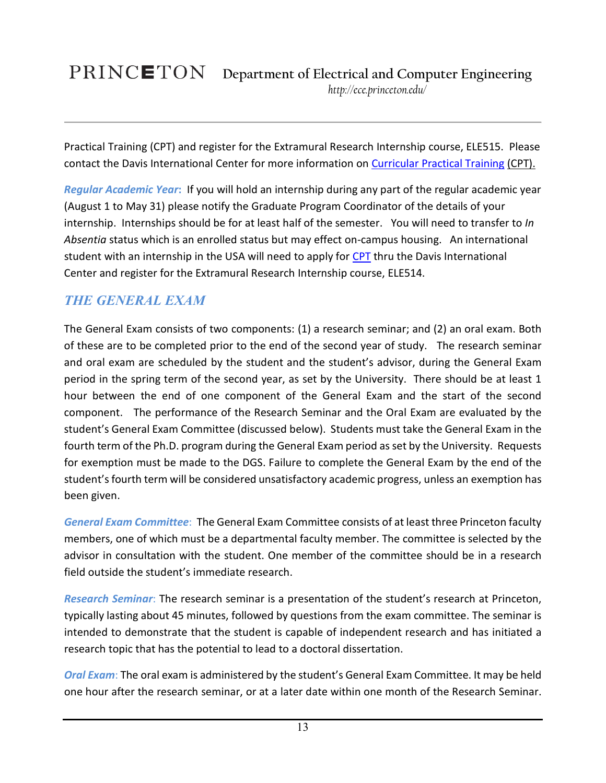# **Department of Electrical and Computer Engineering**

*http://ece.princeton.edu/*

Practical Training (CPT) and register for the Extramural Research Internship course, ELE515. Please contact the Davis International Center for more information on [Curricular Practical Training](https://davisic.princeton.edu/immigration/current-students/curricular-practical-training-cpt) (CPT).

<span id="page-12-0"></span>*Regular Academic Year***:** If you will hold an internship during any part of the regular academic year (August 1 to May 31) please notify the Graduate Program Coordinator of the details of your internship. Internships should be for at least half of the semester. You will need to transfer to *In Absentia* status which is an enrolled status but may effect on-campus housing. An international student with an internship in the USA will need to apply for [CPT](https://davisic.princeton.edu/immigration/current-students/curricular-practical-training-cpt) thru the Davis International Center and register for the Extramural Research Internship course, ELE514.

### <span id="page-12-1"></span>*THE GENERAL EXAM*

The General Exam consists of two components: (1) a research seminar; and (2) an oral exam. Both of these are to be completed prior to the end of the second year of study. The research seminar and oral exam are scheduled by the student and the student's advisor, during the General Exam period in the spring term of the second year, as set by the University. There should be at least 1 hour between the end of one component of the General Exam and the start of the second component. The performance of the Research Seminar and the Oral Exam are evaluated by the student's General Exam Committee (discussed below). Students must take the General Exam in the fourth term of the Ph.D. program during the General Exam period as set by the University. Requests for exemption must be made to the DGS. Failure to complete the General Exam by the end of the student's fourth term will be considered unsatisfactory academic progress, unless an exemption has been given.

<span id="page-12-2"></span>*General Exam Committee*: The General Exam Committee consists of at least three Princeton faculty members, one of which must be a departmental faculty member. The committee is selected by the advisor in consultation with the student. One member of the committee should be in a research field outside the student's immediate research.

<span id="page-12-3"></span>*Research Seminar*: The research seminar is a presentation of the student's research at Princeton, typically lasting about 45 minutes, followed by questions from the exam committee. The seminar is intended to demonstrate that the student is capable of independent research and has initiated a research topic that has the potential to lead to a doctoral dissertation.

<span id="page-12-4"></span>*Oral Exam*: The oral exam is administered by the student's General Exam Committee. It may be held one hour after the research seminar, or at a later date within one month of the Research Seminar.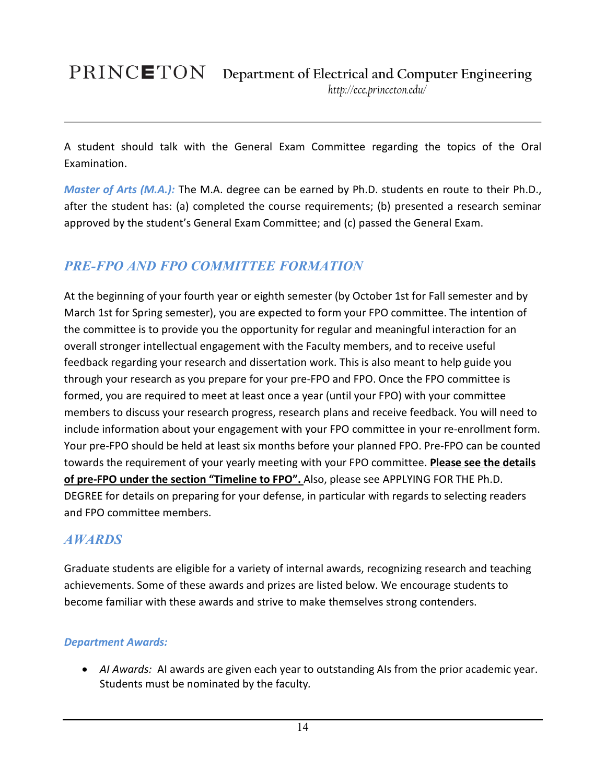A student should talk with the General Exam Committee regarding the topics of the Oral Examination.

<span id="page-13-0"></span>*Master of Arts (M.A.):* The M.A. degree can be earned by Ph.D. students en route to their Ph.D., after the student has: (a) completed the course requirements; (b) presented a research seminar approved by the student's General Exam Committee; and (c) passed the General Exam.

### <span id="page-13-1"></span>*PRE-FPO AND FPO COMMITTEE FORMATION*

At the beginning of your fourth year or eighth semester (by October 1st for Fall semester and by March 1st for Spring semester), you are expected to form your FPO committee. The intention of the committee is to provide you the opportunity for regular and meaningful interaction for an overall stronger intellectual engagement with the Faculty members, and to receive useful feedback regarding your research and dissertation work. This is also meant to help guide you through your research as you prepare for your pre-FPO and FPO. Once the FPO committee is formed, you are required to meet at least once a year (until your FPO) with your committee members to discuss your research progress, research plans and receive feedback. You will need to include information about your engagement with your FPO committee in your re-enrollment form. Your pre-FPO should be held at least six months before your planned FPO. Pre-FPO can be counted towards the requirement of your yearly meeting with your FPO committee. **Please see the details of pre-FPO under the section "Timeline to FPO".** Also, please see APPLYING FOR THE Ph.D. DEGREE for details on preparing for your defense, in particular with regards to selecting readers and FPO committee members.

### <span id="page-13-2"></span>*AWARDS*

Graduate students are eligible for a variety of internal awards, recognizing research and teaching achievements. Some of these awards and prizes are listed below. We encourage students to become familiar with these awards and strive to make themselves strong contenders.

### <span id="page-13-3"></span>*Department Awards:*

• *AI Awards:* AI awards are given each year to outstanding AIs from the prior academic year. Students must be nominated by the faculty*.*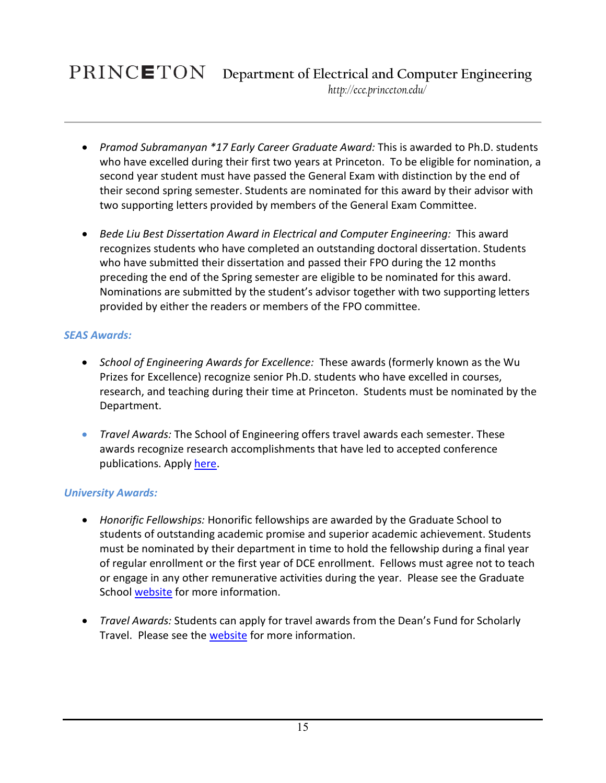## PRINCETON

- *Pramod Subramanyan \*17 Early Career Graduate Award:* This is awarded to Ph.D. students who have excelled during their first two years at Princeton. To be eligible for nomination, a second year student must have passed the General Exam with distinction by the end of their second spring semester. Students are nominated for this award by their advisor with two supporting letters provided by members of the General Exam Committee.
- *Bede Liu Best Dissertation Award in Electrical and Computer Engineering:* This award recognizes students who have completed an outstanding doctoral dissertation. Students who have submitted their dissertation and passed their FPO during the 12 months preceding the end of the Spring semester are eligible to be nominated for this award. Nominations are submitted by the student's advisor together with two supporting letters provided by either the readers or members of the FPO committee.

### <span id="page-14-0"></span>*SEAS Awards:*

- *School of Engineering Awards for Excellence:* These awards (formerly known as the Wu Prizes for Excellence) recognize senior Ph.D. students who have excelled in courses, research, and teaching during their time at Princeton. Students must be nominated by the Department.
- *Travel Awards:* The School of Engineering offers travel awards each semester. These awards recognize research accomplishments that have led to accepted conference publications. Apply [here.](https://engineering.princeton.edu/graduate-studies/travel-funds)

### <span id="page-14-1"></span>*University Awards:*

- *Honorific Fellowships:* Honorific fellowships are awarded by the Graduate School to students of outstanding academic promise and superior academic achievement. Students must be nominated by their department in time to hold the fellowship during a final year of regular enrollment or the first year of DCE enrollment. Fellows must agree not to teach or engage in any other remunerative activities during the year. Please see the Graduate School [website](https://gradschool.princeton.edu/costs-funding/sources-funding/fellowships/competitive) for more information.
- *Travel Awards:* Students can apply for travel awards from the Dean's Fund for Scholarly Travel. Please see the [website](https://gradschool.princeton.edu/costs-funding/sources-funding/travel-grants) for more information.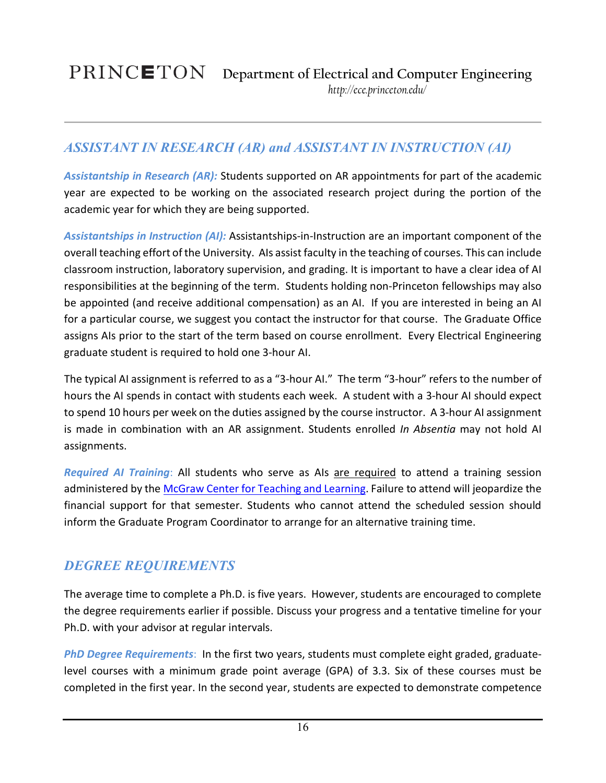### <span id="page-15-0"></span>*ASSISTANT IN RESEARCH (AR) and ASSISTANT IN INSTRUCTION (AI)*

<span id="page-15-1"></span>*Assistantship in Research (AR):* Students supported on AR appointments for part of the academic year are expected to be working on the associated research project during the portion of the academic year for which they are being supported.

<span id="page-15-2"></span>*Assistantships in Instruction (AI):* Assistantships-in-Instruction are an important component of the overall teaching effort of the University. AIs assist faculty in the teaching of courses. This can include classroom instruction, laboratory supervision, and grading. It is important to have a clear idea of AI responsibilities at the beginning of the term. Students holding non-Princeton fellowships may also be appointed (and receive additional compensation) as an AI. If you are interested in being an AI for a particular course, we suggest you contact the instructor for that course. The Graduate Office assigns AIs prior to the start of the term based on course enrollment. Every Electrical Engineering graduate student is required to hold one 3-hour AI.

The typical AI assignment is referred to as a "3-hour AI." The term "3-hour" refers to the number of hours the AI spends in contact with students each week. A student with a 3-hour AI should expect to spend 10 hours per week on the duties assigned by the course instructor. A 3-hour AI assignment is made in combination with an AR assignment. Students enrolled *In Absentia* may not hold AI assignments.

<span id="page-15-3"></span>*Required AI Training*: All students who serve as AIs are required to attend a training session administered by th[e McGraw Center for Teaching and Learning.](https://mcgraw.princeton.edu/graduates/ai-orientation) Failure to attend will jeopardize the financial support for that semester. Students who cannot attend the scheduled session should inform the Graduate Program Coordinator to arrange for an alternative training time.

### <span id="page-15-4"></span>*DEGREE REQUIREMENTS*

The average time to complete a Ph.D. is five years. However, students are encouraged to complete the degree requirements earlier if possible. Discuss your progress and a tentative timeline for your Ph.D. with your advisor at regular intervals.

<span id="page-15-5"></span>*PhD Degree Requirements*: In the first two years, students must complete eight graded, graduatelevel courses with a minimum grade point average (GPA) of 3.3. Six of these courses must be completed in the first year. In the second year, students are expected to demonstrate competence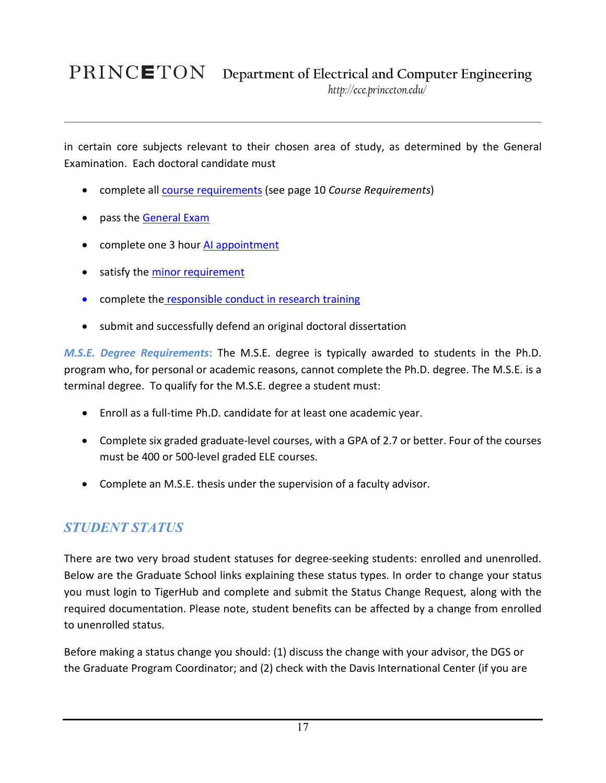in certain core subjects relevant to their chosen area of study, as determined by the General Examination. Each doctoral candidate must

- complete all course requirements (see page 10 *Course Requirements*)
- pass the [General Exam](#page-12-1)
- complete one 3 hour [AI appointment](#page-15-2)
- satisfy the [minor requirement](#page-9-4)
- complete the [responsible conduct in research training](#page-9-5)
- submit and successfully defend an original doctoral dissertation

<span id="page-16-0"></span>*M.S.E. Degree Requirements***:** The M.S.E. degree is typically awarded to students in the Ph.D. program who, for personal or academic reasons, cannot complete the Ph.D. degree. The M.S.E. is a terminal degree. To qualify for the M.S.E. degree a student must:

- Enroll as a full-time Ph.D. candidate for at least one academic year.
- Complete six graded graduate-level courses, with a GPA of 2.7 or better. Four of the courses must be 400 or 500-level graded ELE courses.
- Complete an M.S.E. thesis under the supervision of a faculty advisor.

### <span id="page-16-1"></span>*STUDENT STATUS*

There are two very broad student statuses for degree-seeking students: enrolled and unenrolled. Below are the Graduate School links explaining these status types. In order to change your status you must login to TigerHub and complete and submit the Status Change Request, along with the required documentation. Please note, student benefits can be affected by a change from enrolled to unenrolled status.

Before making a status change you should: (1) discuss the change with your advisor, the DGS or the Graduate Program Coordinator; and (2) check with the Davis International Center (if you are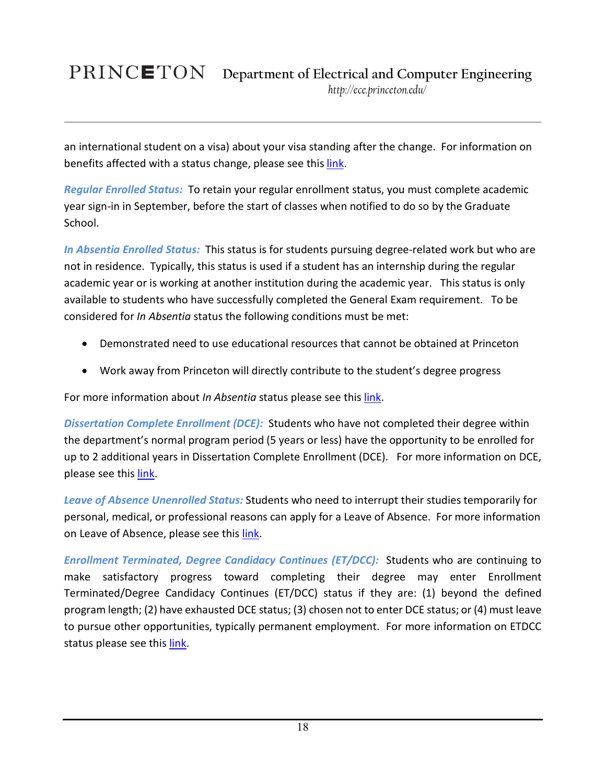# PRINCETON

an international student on a visa) about your visa standing after the change. For information on benefits affected with a status change, please see this [link.](https://gradschool.princeton.edu/sites/gradschool/files/docs/ACA/Benefit_Changes.pdf)

<span id="page-17-0"></span>*Regular Enrolled Status:* To retain your regular enrollment status, you must complete academic year sign-in in September, before the start of classes when notified to do so by the Graduate School.

<span id="page-17-1"></span>*In Absentia Enrolled Status:* This status is for students pursuing degree-related work but who are not in residence. Typically, this status is used if a student has an internship during the regular academic year or is working at another institution during the academic year. This status is only available to students who have successfully completed the General Exam requirement. To be considered for *In Absentia* status the following conditions must be met:

- Demonstrated need to use educational resources that cannot be obtained at Princeton
- Work away from Princeton will directly contribute to the student's degree progress

For more information about *In Absentia* status please see this *link*.

<span id="page-17-2"></span>*Dissertation Complete Enrollment (DCE):* Students who have not completed their degree within the department's normal program period (5 years or less) have the opportunity to be enrolled for up to 2 additional years in Dissertation Complete Enrollment (DCE). For more information on DCE, please see this [link.](https://gradschool.princeton.edu/academics/statuses/degree-seeking-statuses/dissertation-completion-enrollment-dce)

<span id="page-17-3"></span>*Leave of Absence Unenrolled Status:* Students who need to interrupt their studies temporarily for personal, medical, or professional reasons can apply for a Leave of Absence. For more information on Leave of Absence, please see thi[s link.](https://gradschool.princeton.edu/academics/statuses/degree-seeking-statuses/leave-absence)

<span id="page-17-4"></span>*Enrollment Terminated, Degree Candidacy Continues (ET/DCC):* Students who are continuing to make satisfactory progress toward completing their degree may enter Enrollment Terminated/Degree Candidacy Continues (ET/DCC) status if they are: (1) beyond the defined program length; (2) have exhausted DCE status; (3) chosen not to enter DCE status; or (4) must leave to pursue other opportunities, typically permanent employment. For more information on ETDCC status please see this [link.](https://gradschool.princeton.edu/academics/statuses/degree-seeking-statuses/enrollment-terminateddegree-candidacy-continues-etdcc)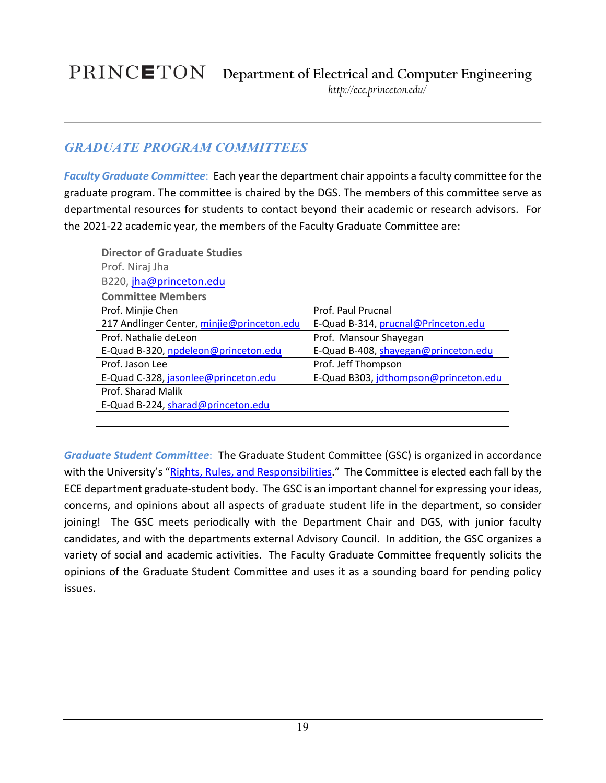### <span id="page-18-0"></span>*GRADUATE PROGRAM COMMITTEES*

<span id="page-18-1"></span>*Faculty Graduate Committee*: Each year the department chair appoints a faculty committee for the graduate program. The committee is chaired by the DGS. The members of this committee serve as departmental resources for students to contact beyond their academic or research advisors. For the 2021-22 academic year, the members of the Faculty Graduate Committee are:

| <b>Director of Graduate Studies</b>        |                                       |
|--------------------------------------------|---------------------------------------|
| Prof. Niraj Jha                            |                                       |
| B220, jha@princeton.edu                    |                                       |
| <b>Committee Members</b>                   |                                       |
| Prof. Minjie Chen                          | Prof. Paul Prucnal                    |
| 217 Andlinger Center, minjie@princeton.edu | E-Quad B-314, prucnal@Princeton.edu   |
| Prof. Nathalie deLeon                      | Prof. Mansour Shayegan                |
| E-Quad B-320, npdeleon@princeton.edu       | E-Quad B-408, shayegan@princeton.edu  |
| Prof. Jason Lee                            | Prof. Jeff Thompson                   |
| E-Quad C-328, jasonlee@princeton.edu       | E-Quad B303, jdthompson@princeton.edu |
| Prof. Sharad Malik                         |                                       |
| E-Quad B-224, sharad@princeton.edu         |                                       |
|                                            |                                       |

<span id="page-18-2"></span>*Graduate Student Committee*: The Graduate Student Committee (GSC) is organized in accordance with the University's ["Rights, Rules, and Responsibilities.](http://www.princeton.edu/pub/rrr/index.xml)" The Committee is elected each fall by the ECE department graduate-student body. The GSC is an important channel for expressing your ideas, concerns, and opinions about all aspects of graduate student life in the department, so consider joining! The GSC meets periodically with the Department Chair and DGS, with junior faculty candidates, and with the departments external Advisory Council. In addition, the GSC organizes a variety of social and academic activities. The Faculty Graduate Committee frequently solicits the opinions of the Graduate Student Committee and uses it as a sounding board for pending policy issues.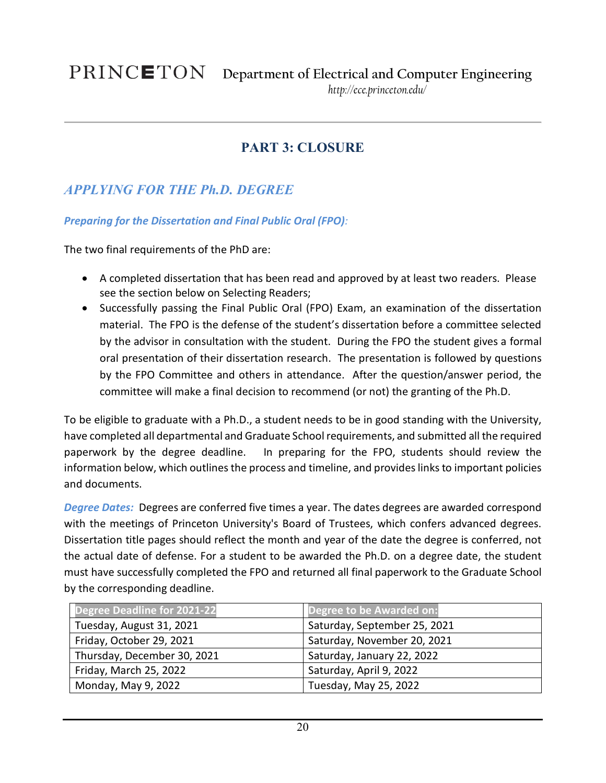### **PART 3: CLOSURE**

### <span id="page-19-1"></span><span id="page-19-0"></span>*APPLYING FOR THE Ph.D. DEGREE*

### <span id="page-19-2"></span>*Preparing for the Dissertation and Final Public Oral (FPO):*

The two final requirements of the PhD are:

- A completed dissertation that has been read and approved by at least two readers. Please see the section below on Selecting Readers;
- Successfully passing the Final Public Oral (FPO) Exam, an examination of the dissertation material. The FPO is the defense of the student's dissertation before a committee selected by the advisor in consultation with the student. During the FPO the student gives a formal oral presentation of their dissertation research. The presentation is followed by questions by the FPO Committee and others in attendance. After the question/answer period, the committee will make a final decision to recommend (or not) the granting of the Ph.D.

To be eligible to graduate with a Ph.D., a student needs to be in good standing with the University, have completed all departmental and Graduate School requirements, and submitted all the required paperwork by the degree deadline. In preparing for the FPO, students should review the information below, which outlines the process and timeline, and provides links to important policies and documents.

<span id="page-19-3"></span>*Degree Dates:* Degrees are conferred five times a year. The dates degrees are awarded correspond with the meetings of Princeton University's Board of Trustees, which confers advanced degrees. Dissertation title pages should reflect the month and year of the date the degree is conferred, not the actual date of defense. For a student to be awarded the Ph.D. on a degree date, the student must have successfully completed the FPO and returned all final paperwork to the Graduate School by the corresponding deadline.

<span id="page-19-4"></span>

| <b>Degree Deadline for 2021-22</b> | Degree to be Awarded on:     |
|------------------------------------|------------------------------|
| Tuesday, August 31, 2021           | Saturday, September 25, 2021 |
| Friday, October 29, 2021           | Saturday, November 20, 2021  |
| Thursday, December 30, 2021        | Saturday, January 22, 2022   |
| Friday, March 25, 2022             | Saturday, April 9, 2022      |
| Monday, May 9, 2022                | Tuesday, May 25, 2022        |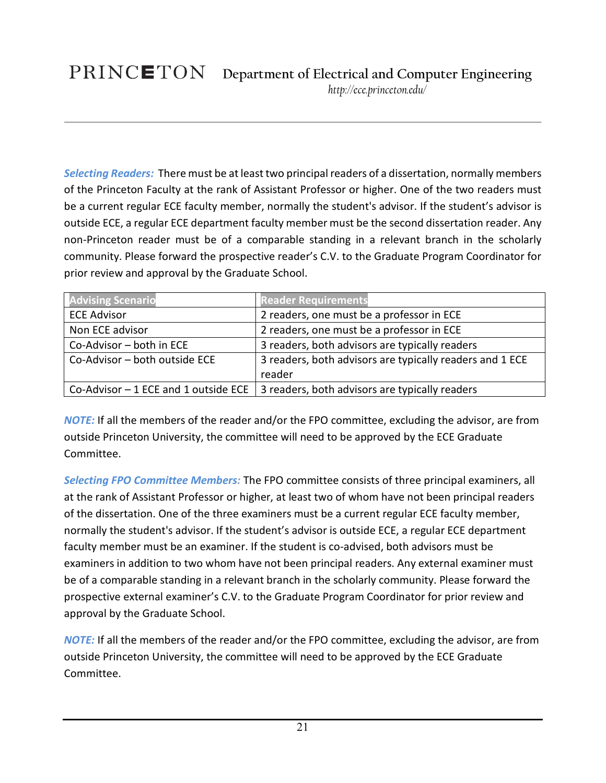<span id="page-20-3"></span><span id="page-20-0"></span>*Selecting Readers:* There must be at least two principal readers of a dissertation, normally members of the Princeton Faculty at the rank of Assistant Professor or higher. One of the two readers must be a current regular ECE faculty member, normally the student's advisor. If the student's advisor is outside ECE, a regular ECE department faculty member must be the second dissertation reader. Any non-Princeton reader must be of a comparable standing in a relevant branch in the scholarly community. Please forward the prospective reader's C.V. to the Graduate Program Coordinator for prior review and approval by the Graduate School.

| <b>Advising Scenario</b>              | <b>Reader Requirements</b>                               |
|---------------------------------------|----------------------------------------------------------|
| <b>ECE Advisor</b>                    | 2 readers, one must be a professor in ECE                |
| Non ECE advisor                       | 2 readers, one must be a professor in ECE                |
| Co-Advisor - both in ECE              | 3 readers, both advisors are typically readers           |
| Co-Advisor - both outside ECE         | 3 readers, both advisors are typically readers and 1 ECE |
|                                       | reader                                                   |
| Co-Advisor $-1$ ECE and 1 outside ECE | 3 readers, both advisors are typically readers           |

<span id="page-20-1"></span>*NOTE:* If all the members of the reader and/or the FPO committee, excluding the advisor, are from outside Princeton University, the committee will need to be approved by the ECE Graduate Committee.

*Selecting FPO Committee Members:* The FPO committee consists of three principal examiners, all at the rank of Assistant Professor or higher, at least two of whom have not been principal readers of the dissertation. One of the three examiners must be a current regular ECE faculty member, normally the student's advisor. If the student's advisor is outside ECE, a regular ECE department faculty member must be an examiner. If the student is co-advised, both advisors must be examiners in addition to two whom have not been principal readers. Any external examiner must be of a comparable standing in a relevant branch in the scholarly community. Please forward the prospective external examiner's C.V. to the Graduate Program Coordinator for prior review and approval by the Graduate School.

<span id="page-20-2"></span>*NOTE:* If all the members of the reader and/or the FPO committee, excluding the advisor, are from outside Princeton University, the committee will need to be approved by the ECE Graduate Committee.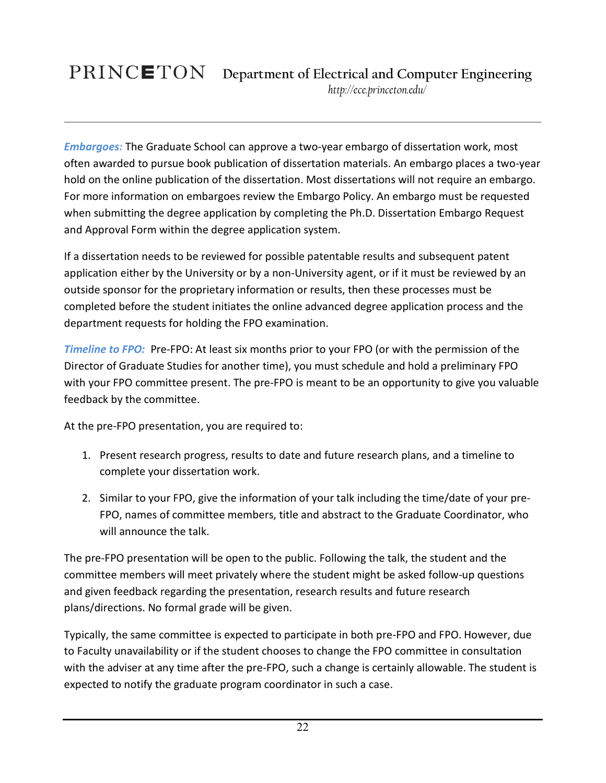*Embargoes:* The Graduate School can approve a two-year embargo of dissertation work, most often awarded to pursue book publication of dissertation materials. An embargo places a two-year hold on the online publication of the dissertation. Most dissertations will not require an embargo. For more information on embargoes review the Embargo Policy. An embargo must be requested when submitting the degree application by completing the Ph.D. Dissertation Embargo Request and Approval Form within the degree application system.

If a dissertation needs to be reviewed for possible patentable results and subsequent patent application either by the University or by a non-University agent, or if it must be reviewed by an outside sponsor for the proprietary information or results, then these processes must be completed before the student initiates the online advanced degree application process and the department requests for holding the FPO examination.

*Timeline to FPO:* Pre-FPO: At least six months prior to your FPO (or with the permission of the Director of Graduate Studies for another time), you must schedule and hold a preliminary FPO with your FPO committee present. The pre-FPO is meant to be an opportunity to give you valuable feedback by the committee.

At the pre-FPO presentation, you are required to:

- 1. Present research progress, results to date and future research plans, and a timeline to complete your dissertation work.
- 2. Similar to your FPO, give the information of your talk including the time/date of your pre-FPO, names of committee members, title and abstract to the Graduate Coordinator, who will announce the talk.

The pre-FPO presentation will be open to the public. Following the talk, the student and the committee members will meet privately where the student might be asked follow-up questions and given feedback regarding the presentation, research results and future research plans/directions. No formal grade will be given.

Typically, the same committee is expected to participate in both pre-FPO and FPO. However, due to Faculty unavailability or if the student chooses to change the FPO committee in consultation with the adviser at any time after the pre-FPO, such a change is certainly allowable. The student is expected to notify the graduate program coordinator in such a case.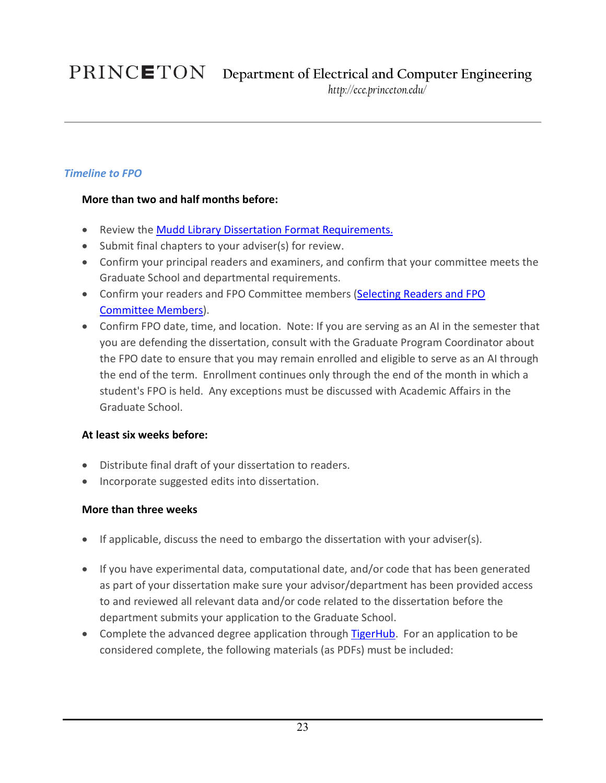### <span id="page-22-0"></span>*Timeline to FPO*

### <span id="page-22-1"></span>**More than two and half months before:**

- Review th[e Mudd Library Dissertation Format Requirements.](https://rbsc.princeton.edu/policies/masters-theses-phd-dissertations-submission-guidelines)
- Submit final chapters to your adviser(s) for review.
- Confirm your principal readers and examiners, and confirm that your committee meets the Graduate School and departmental requirements.
- Confirm your readers and FPO Committee members [\(Selecting Readers and FPO](#page-20-3)  [Committee Members\)](#page-20-3).
- Confirm FPO date, time, and location. Note: If you are serving as an AI in the semester that you are defending the dissertation, consult with the Graduate Program Coordinator about the FPO date to ensure that you may remain enrolled and eligible to serve as an AI through the end of the term. Enrollment continues only through the end of the month in which a student's FPO is held. Any exceptions must be discussed with Academic Affairs in the Graduate School.

### <span id="page-22-2"></span>**At least six weeks before:**

- Distribute final draft of your dissertation to readers.
- Incorporate suggested edits into dissertation.

### <span id="page-22-3"></span>**More than three weeks**

- If applicable, discuss the need to [embargo](https://gradschool.princeton.edu/policies/embargo) the dissertation with your adviser(s).
- If you have experimental data, computational date, and/or code that has been generated as part of your dissertation make sure your advisor/department has been provided access to and reviewed all relevant data and/or code related to the dissertation before the department submits your application to the Graduate School.
- <span id="page-22-4"></span>• Complete the advanced degree application through [TigerHub.](https://registrar.princeton.edu/tigerhub) For an application to be considered complete, the following materials (as PDFs) must be included: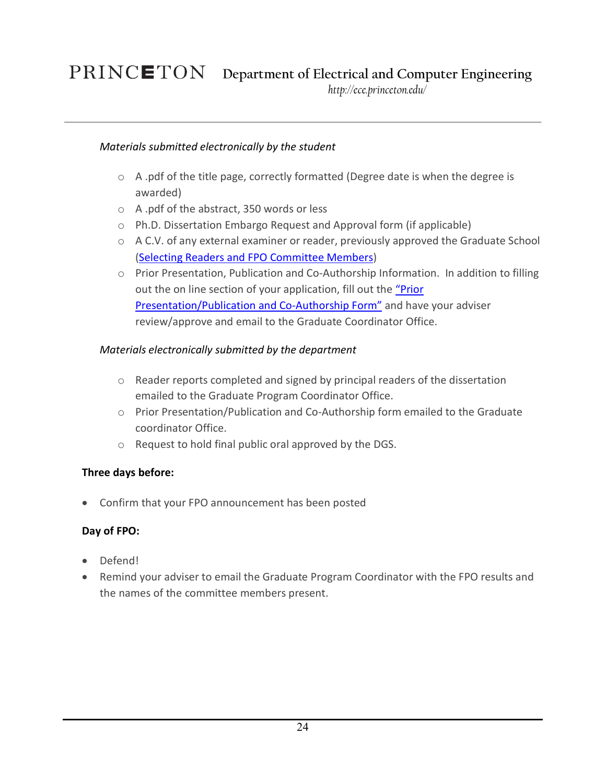## **Department of Electrical and Computer Engineering**

*http://ece.princeton.edu/*

### *Materials submitted electronically by the student*

- o A .pdf of the title page, correctly formatted (Degree date is when the degree is awarded)
- o A .pdf of the abstract, 350 words or less
- o Ph.D. Dissertation Embargo Request and Approval form (if applicable)
- o A C.V. of any external examiner or reader, previously approved the Graduate School [\(Selecting Readers and FPO Committee Members\)](#page-20-3)
- o Prior Presentation, Publication and Co-Authorship Information. In addition to filling out the on line section of your application, fill out the ["Prior](https://gradschool.princeton.edu/sites/gradschool/files/508_PHD_Dissertation_Report_Form.pdf)  [Presentation/Publication and Co-Authorship Form"](https://gradschool.princeton.edu/sites/gradschool/files/508_PHD_Dissertation_Report_Form.pdf) and have your adviser review/approve and email to the Graduate Coordinator Office.

### <span id="page-23-0"></span>*Materials electronically submitted by the department*

- o Reader reports completed and signed by principal readers of the dissertation emailed to the Graduate Program Coordinator Office.
- o Prior Presentation/Publication and Co-Authorship form emailed to the Graduate coordinator Office.
- o Request to hold final public oral approved by the DGS.

### <span id="page-23-1"></span>**Three days before:**

• Confirm that your FPO announcement has been posted

### <span id="page-23-2"></span>**Day of FPO:**

- Defend!
- Remind your adviser to email the Graduate Program Coordinator with the FPO results and the names of the committee members present.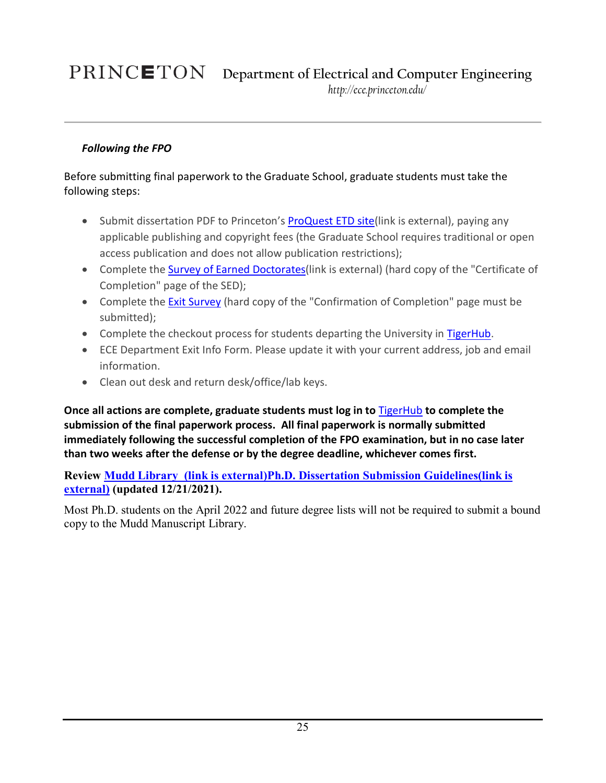### *Following the FPO*

Before submitting final paperwork to the Graduate School, graduate students must take the following steps:

- Submit dissertation PDF to Princeton's [ProQuest ETD site\(](http://www.etdadmin.com/princeton)link is external), paying any applicable publishing and copyright fees (the Graduate School requires traditional or open access publication and does not allow publication restrictions);
- Complete the **Survey of Earned Doctorates** (link is external) (hard copy of the "Certificate of Completion" page of the SED);
- Complete the **Exit Survey** (hard copy of the "Confirmation of Completion" page must be submitted);
- Complete the checkout process for students departing the University in [TigerHub.](https://registrar.princeton.edu/tigerhub)
- ECE Department [Exit Info Form.](https://ee.princeton.edu/sites/ee/files/exitinfoform-gs.pdf) Please update it with your current address, job and email information.
- Clean out desk and return desk/office/lab keys.

**Once all actions are complete, graduate students must log in to** [TigerHub](https://registrar.princeton.edu/tigerhub) **to complete the submission of the final paperwork process. All final paperwork is normally submitted immediately following the successful completion of the FPO examination, but in no case later than two weeks after the defense or by the degree deadline, whichever comes first.**

**Review Mudd Library [\(link is external\)Ph.D. Dissertation Submission Guidelines\(link is](https://library.princeton.edu/special-collections/policies/masters-theses-and-phd-dissertations-submission-guidelines)  [external\)](https://library.princeton.edu/special-collections/policies/masters-theses-and-phd-dissertations-submission-guidelines) (updated 12/21/2021).**

<span id="page-24-0"></span>Most Ph.D. students on the April 2022 and future degree lists will not be required to submit a bound copy to the Mudd Manuscript Library.